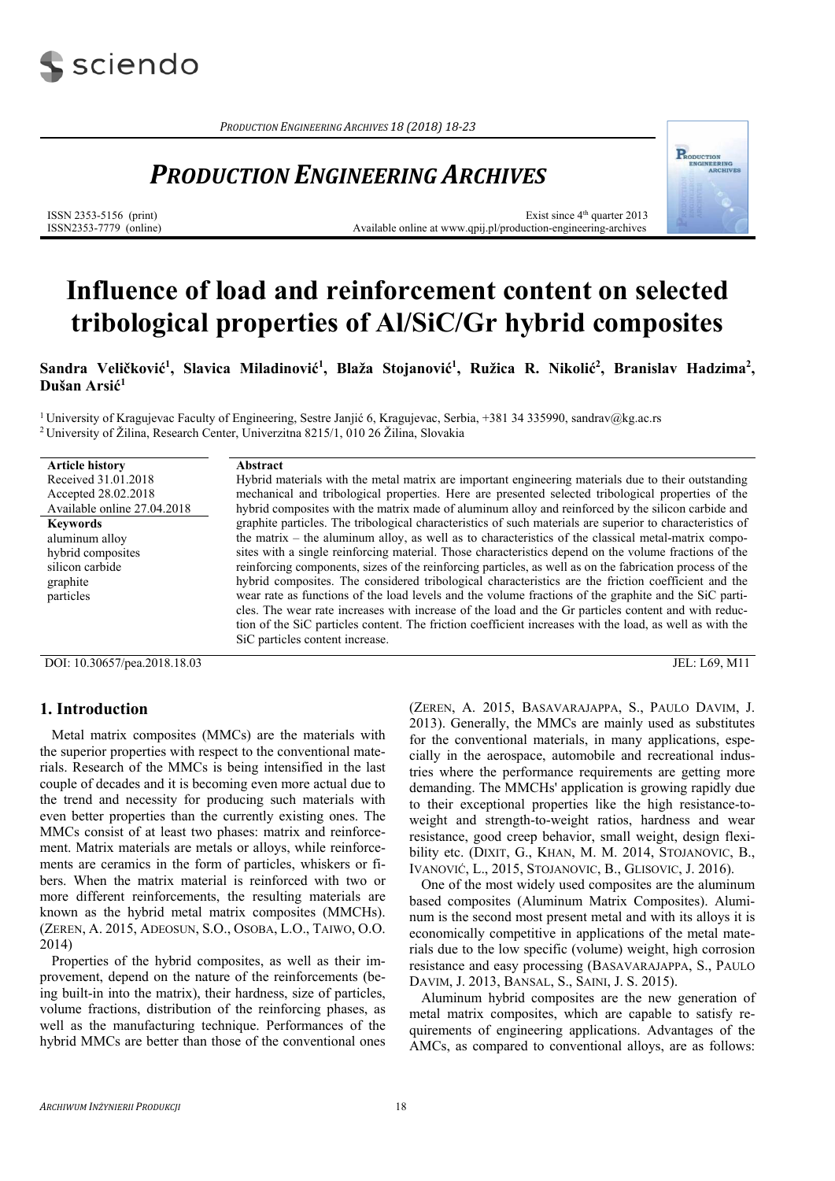

*PRODUCTION ENGINEERING ARCHIVES 18 (2018) 18‐23*

## *PRODUCTION ENGINEERING ARCHIVES*



Exist since  $4<sup>th</sup>$  quarter 2013 Available online at www.qpij.pl/production-engineering-archives

REODUCTION

# **Influence of load and reinforcement content on selected tribological properties of Al/SiC/Gr hybrid composites**

Sandra Veličković<sup>1</sup>, Slavica Miladinović<sup>1</sup>, Blaža Stojanović<sup>1</sup>, Ružica R. Nikolić<sup>2</sup>, Branislav Hadzima<sup>2</sup>, **Dušan Arsić1**

<sup>1</sup> University of Kragujevac Faculty of Engineering, Sestre Janjić 6, Kragujevac, Serbia, +381 34 335990, sandrav@kg.ac.rs <sup>2</sup> University of Žilina, Research Center, Univerzitna 8215/1, 010 26 Žilina, Slovakia

| <b>Article history</b>      | Abstract                                                                                                  |
|-----------------------------|-----------------------------------------------------------------------------------------------------------|
| Received 31.01.2018         | Hybrid materials with the metal matrix are important engineering materials due to their outstanding       |
| Accepted 28.02.2018         | mechanical and tribological properties. Here are presented selected tribological properties of the        |
| Available online 27.04.2018 | hybrid composites with the matrix made of aluminum alloy and reinforced by the silicon carbide and        |
| <b>Keywords</b>             | graphite particles. The tribological characteristics of such materials are superior to characteristics of |
| aluminum alloy              | the matrix – the aluminum alloy, as well as to characteristics of the classical metal-matrix compo-       |
| hybrid composites           | sites with a single reinforcing material. Those characteristics depend on the volume fractions of the     |
| silicon carbide             | reinforcing components, sizes of the reinforcing particles, as well as on the fabrication process of the  |
| graphite                    | hybrid composites. The considered tribological characteristics are the friction coefficient and the       |
| particles                   | wear rate as functions of the load levels and the volume fractions of the graphite and the SiC parti-     |
|                             | cles. The wear rate increases with increase of the load and the Gr particles content and with reduc-      |
|                             | tion of the SiC particles content. The friction coefficient increases with the load, as well as with the  |
|                             | SiC particles content increase.                                                                           |
|                             |                                                                                                           |

DOI: 10.30657/pea.2018.18.03 JEL: L69, M11

## **1. Introduction**

Metal matrix composites (MMCs) are the materials with the superior properties with respect to the conventional materials. Research of the MMCs is being intensified in the last couple of decades and it is becoming even more actual due to the trend and necessity for producing such materials with even better properties than the currently existing ones. The MMCs consist of at least two phases: matrix and reinforcement. Matrix materials are metals or alloys, while reinforcements are ceramics in the form of particles, whiskers or fibers. When the matrix material is reinforced with two or more different reinforcements, the resulting materials are known as the hybrid metal matrix composites (MMCHs). (ZEREN, A. 2015, ADEOSUN, S.O., OSOBA, L.O., TAIWO, O.O. 2014)

Properties of the hybrid composites, as well as their improvement, depend on the nature of the reinforcements (being built-in into the matrix), their hardness, size of particles, volume fractions, distribution of the reinforcing phases, as well as the manufacturing technique. Performances of the hybrid MMCs are better than those of the conventional ones (ZEREN, A. 2015, BASAVARAJAPPA, S., PAULO DAVIM, J. 2013). Generally, the MMCs are mainly used as substitutes for the conventional materials, in many applications, especially in the aerospace, automobile and recreational industries where the performance requirements are getting more demanding. The MMCHs' application is growing rapidly due to their exceptional properties like the high resistance-toweight and strength-to-weight ratios, hardness and wear resistance, good creep behavior, small weight, design flexibility etc. (DIXIT, G., KHAN, M. M. 2014, STOJANOVIC, B., IVANOVIĆ, L., 2015, STOJANOVIC, B., GLISOVIC, J. 2016).

One of the most widely used composites are the aluminum based composites (Aluminum Matrix Composites). Aluminum is the second most present metal and with its alloys it is economically competitive in applications of the metal materials due to the low specific (volume) weight, high corrosion resistance and easy processing (BASAVARAJAPPA, S., PAULO DAVIM, J. 2013, BANSAL, S., SAINI, J. S. 2015).

Aluminum hybrid composites are the new generation of metal matrix composites, which are capable to satisfy requirements of engineering applications. Advantages of the AMCs, as compared to conventional alloys, are as follows: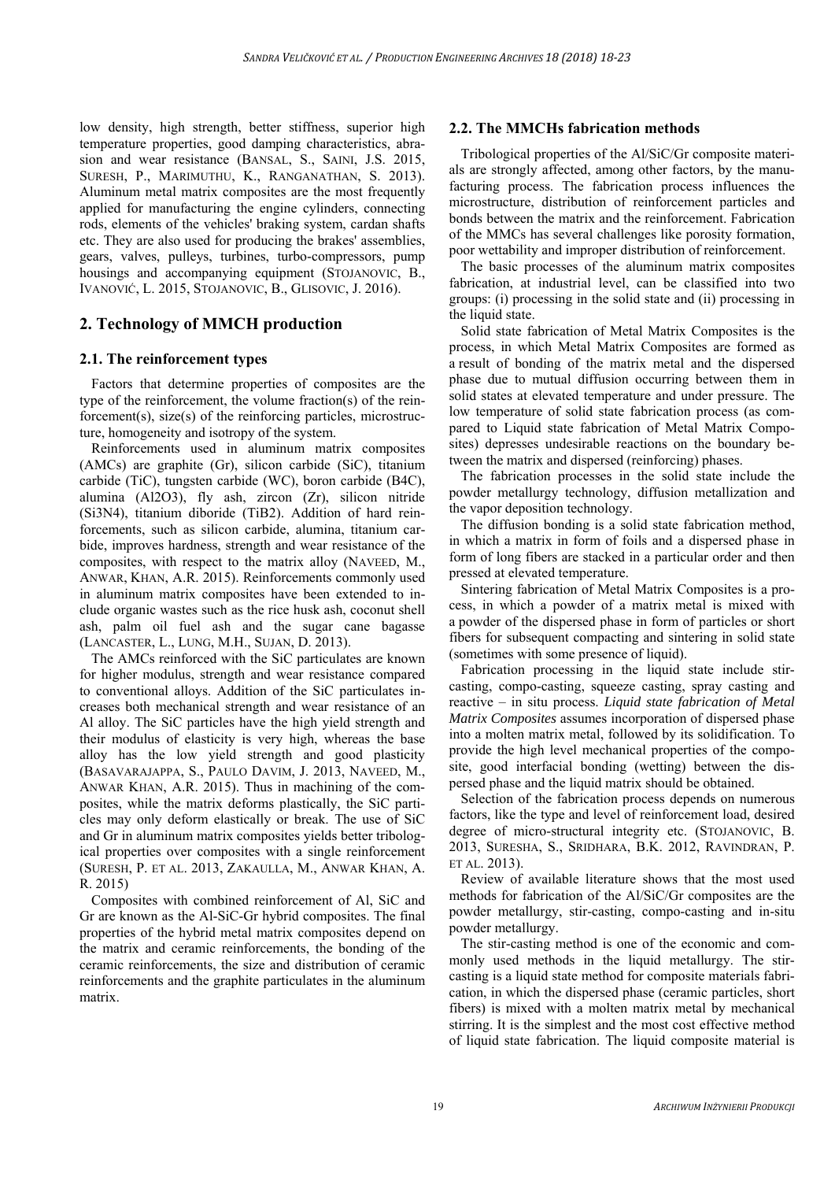low density, high strength, better stiffness, superior high temperature properties, good damping characteristics, abrasion and wear resistance (BANSAL, S., SAINI, J.S. 2015, SURESH, P., MARIMUTHU, K., RANGANATHAN, S. 2013). Aluminum metal matrix composites are the most frequently applied for manufacturing the engine cylinders, connecting rods, elements of the vehicles' braking system, cardan shafts etc. They are also used for producing the brakes' assemblies, gears, valves, pulleys, turbines, turbo-compressors, pump housings and accompanying equipment (STOJANOVIC, B., IVANOVIĆ, L. 2015, STOJANOVIC, B., GLISOVIC, J. 2016).

## **2. Technology of MMCH production**

## **2.1. The reinforcement types**

Factors that determine properties of composites are the type of the reinforcement, the volume fraction(s) of the reinforcement(s), size(s) of the reinforcing particles, microstructure, homogeneity and isotropy of the system.

Reinforcements used in aluminum matrix composites (AMCs) are graphite (Gr), silicon carbide (SiC), titanium carbide (TiC), tungsten carbide (WC), boron carbide (B4C), alumina (Al2O3), fly ash, zircon (Zr), silicon nitride (Si3N4), titanium diboride (TiB2). Addition of hard reinforcements, such as silicon carbide, alumina, titanium carbide, improves hardness, strength and wear resistance of the composites, with respect to the matrix alloy (NAVEED, M., ANWAR, KHAN, A.R. 2015). Reinforcements commonly used in aluminum matrix composites have been extended to include organic wastes such as the rice husk ash, coconut shell ash, palm oil fuel ash and the sugar cane bagasse (LANCASTER, L., LUNG, M.H., SUJAN, D. 2013).

The AMCs reinforced with the SiC particulates are known for higher modulus, strength and wear resistance compared to conventional alloys. Addition of the SiC particulates increases both mechanical strength and wear resistance of an Al alloy. The SiC particles have the high yield strength and their modulus of elasticity is very high, whereas the base alloy has the low yield strength and good plasticity (BASAVARAJAPPA, S., PAULO DAVIM, J. 2013, NAVEED, M., ANWAR KHAN, A.R. 2015). Thus in machining of the composites, while the matrix deforms plastically, the SiC particles may only deform elastically or break. The use of SiC and Gr in aluminum matrix composites yields better tribological properties over composites with a single reinforcement (SURESH, P. ET AL. 2013, ZAKAULLA, M., ANWAR KHAN, A. R. 2015)

Composites with combined reinforcement of Al, SiC and Gr are known as the Al-SiC-Gr hybrid composites. The final properties of the hybrid metal matrix composites depend on the matrix and ceramic reinforcements, the bonding of the ceramic reinforcements, the size and distribution of ceramic reinforcements and the graphite particulates in the aluminum matrix.

### **2.2. The MMCHs fabrication methods**

Tribological properties of the Al/SiC/Gr composite materials are strongly affected, among other factors, by the manufacturing process. The fabrication process influences the microstructure, distribution of reinforcement particles and bonds between the matrix and the reinforcement. Fabrication of the MMCs has several challenges like porosity formation, poor wettability and improper distribution of reinforcement.

The basic processes of the aluminum matrix composites fabrication, at industrial level, can be classified into two groups: (i) processing in the solid state and (ii) processing in the liquid state.

Solid state fabrication of Metal Matrix Composites is the process, in which Metal Matrix Composites are formed as a result of bonding of the matrix metal and the dispersed phase due to mutual diffusion occurring between them in solid states at elevated temperature and under pressure. The low temperature of solid state fabrication process (as compared to Liquid state fabrication of Metal Matrix Composites) depresses undesirable reactions on the boundary between the matrix and dispersed (reinforcing) phases.

The fabrication processes in the solid state include the powder metallurgy technology, diffusion metallization and the vapor deposition technology.

The diffusion bonding is a solid state fabrication method, in which a matrix in form of foils and a dispersed phase in form of long fibers are stacked in a particular order and then pressed at elevated temperature.

Sintering fabrication of Metal Matrix Composites is a process, in which a powder of a matrix metal is mixed with a powder of the dispersed phase in form of particles or short fibers for subsequent compacting and sintering in solid state (sometimes with some presence of liquid).

Fabrication processing in the liquid state include stircasting, compo-casting, squeeze casting, spray casting and reactive – in situ process. *Liquid state fabrication of Metal Matrix Composites* assumes incorporation of dispersed phase into a molten matrix metal, followed by its solidification. To provide the high level mechanical properties of the composite, good interfacial bonding (wetting) between the dispersed phase and the liquid matrix should be obtained.

Selection of the fabrication process depends on numerous factors, like the type and level of reinforcement load, desired degree of micro-structural integrity etc. (STOJANOVIC, B. 2013, SURESHA, S., SRIDHARA, B.K. 2012, RAVINDRAN, P. ET AL. 2013).

Review of available literature shows that the most used methods for fabrication of the Al/SiC/Gr composites are the powder metallurgy, stir-casting, compo-casting and in-situ powder metallurgy.

The stir-casting method is one of the economic and commonly used methods in the liquid metallurgy. The stircasting is a liquid state method for composite materials fabrication, in which the dispersed phase (ceramic particles, short fibers) is mixed with a molten matrix metal by mechanical stirring. It is the simplest and the most cost effective method of liquid state fabrication. The liquid composite material is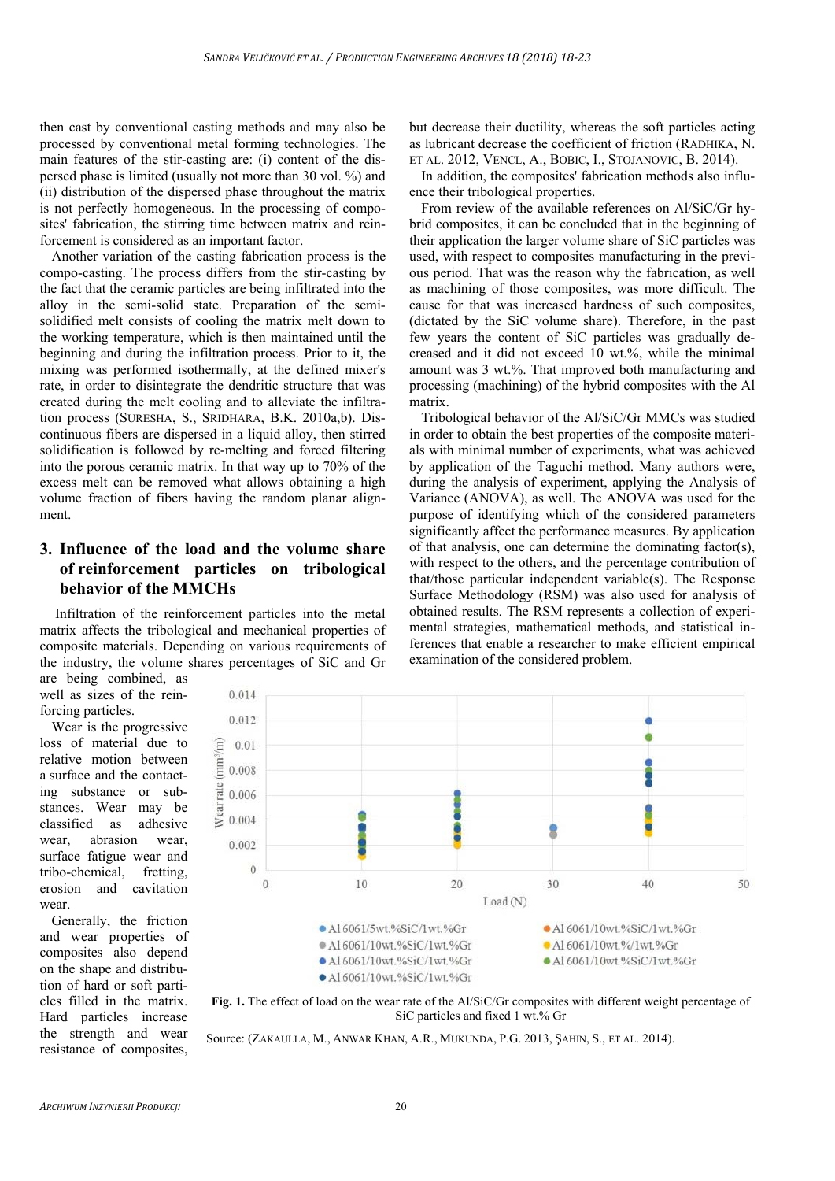then cast by conventional casting methods and may also be processed by conventional metal forming technologies. The main features of the stir-casting are: (i) content of the dispersed phase is limited (usually not more than 30 vol. %) and (ii) distribution of the dispersed phase throughout the matrix is not perfectly homogeneous. In the processing of composites' fabrication, the stirring time between matrix and reinforcement is considered as an important factor.

Another variation of the casting fabrication process is the compo-casting. The process differs from the stir-casting by the fact that the ceramic particles are being infiltrated into the alloy in the semi-solid state. Preparation of the semisolidified melt consists of cooling the matrix melt down to the working temperature, which is then maintained until the beginning and during the infiltration process. Prior to it, the mixing was performed isothermally, at the defined mixer's rate, in order to disintegrate the dendritic structure that was created during the melt cooling and to alleviate the infiltration process (SURESHA, S., SRIDHARA, B.K. 2010a,b). Discontinuous fibers are dispersed in a liquid alloy, then stirred solidification is followed by re-melting and forced filtering into the porous ceramic matrix. In that way up to 70% of the excess melt can be removed what allows obtaining a high volume fraction of fibers having the random planar alignment.

## **3. Influence of the load and the volume share of reinforcement particles on tribological behavior of the MMCHs**

 Infiltration of the reinforcement particles into the metal matrix affects the tribological and mechanical properties of composite materials. Depending on various requirements of the industry, the volume shares percentages of SiC and Gr

are being combined, as well as sizes of the reinforcing particles.

Wear is the progressive loss of material due to relative motion between a surface and the contacting substance or substances. Wear may be classified as adhesive wear, abrasion wear, surface fatigue wear and tribo-chemical, fretting, erosion and cavitation wear.

Generally, the friction and wear properties of composites also depend on the shape and distribution of hard or soft particles filled in the matrix. Hard particles increase the strength and wear resistance of composites, but decrease their ductility, whereas the soft particles acting as lubricant decrease the coefficient of friction (RADHIKA, N. ET AL. 2012, VENCL, A., BOBIC, I., STOJANOVIC, B. 2014).

In addition, the composites' fabrication methods also influence their tribological properties.

From review of the available references on Al/SiC/Gr hybrid composites, it can be concluded that in the beginning of their application the larger volume share of SiC particles was used, with respect to composites manufacturing in the previous period. That was the reason why the fabrication, as well as machining of those composites, was more difficult. The cause for that was increased hardness of such composites, (dictated by the SiC volume share). Therefore, in the past few years the content of SiC particles was gradually decreased and it did not exceed 10 wt.%, while the minimal amount was 3 wt.%. That improved both manufacturing and processing (machining) of the hybrid composites with the Al matrix.

Tribological behavior of the Al/SiC/Gr MMCs was studied in order to obtain the best properties of the composite materials with minimal number of experiments, what was achieved by application of the Taguchi method. Many authors were, during the analysis of experiment, applying the Analysis of Variance (ANOVA), as well. The ANOVA was used for the purpose of identifying which of the considered parameters significantly affect the performance measures. By application of that analysis, one can determine the dominating factor(s), with respect to the others, and the percentage contribution of that/those particular independent variable(s). The Response Surface Methodology (RSM) was also used for analysis of obtained results. The RSM represents a collection of experimental strategies, mathematical methods, and statistical inferences that enable a researcher to make efficient empirical examination of the considered problem.



**Fig. 1.** The effect of load on the wear rate of the Al/SiC/Gr composites with different weight percentage of SiC particles and fixed 1 wt.% Gr

Source: (ZAKAULLA, M., ANWAR KHAN, A.R., MUKUNDA, P.G. 2013, ŞAHIN, S., ET AL. 2014).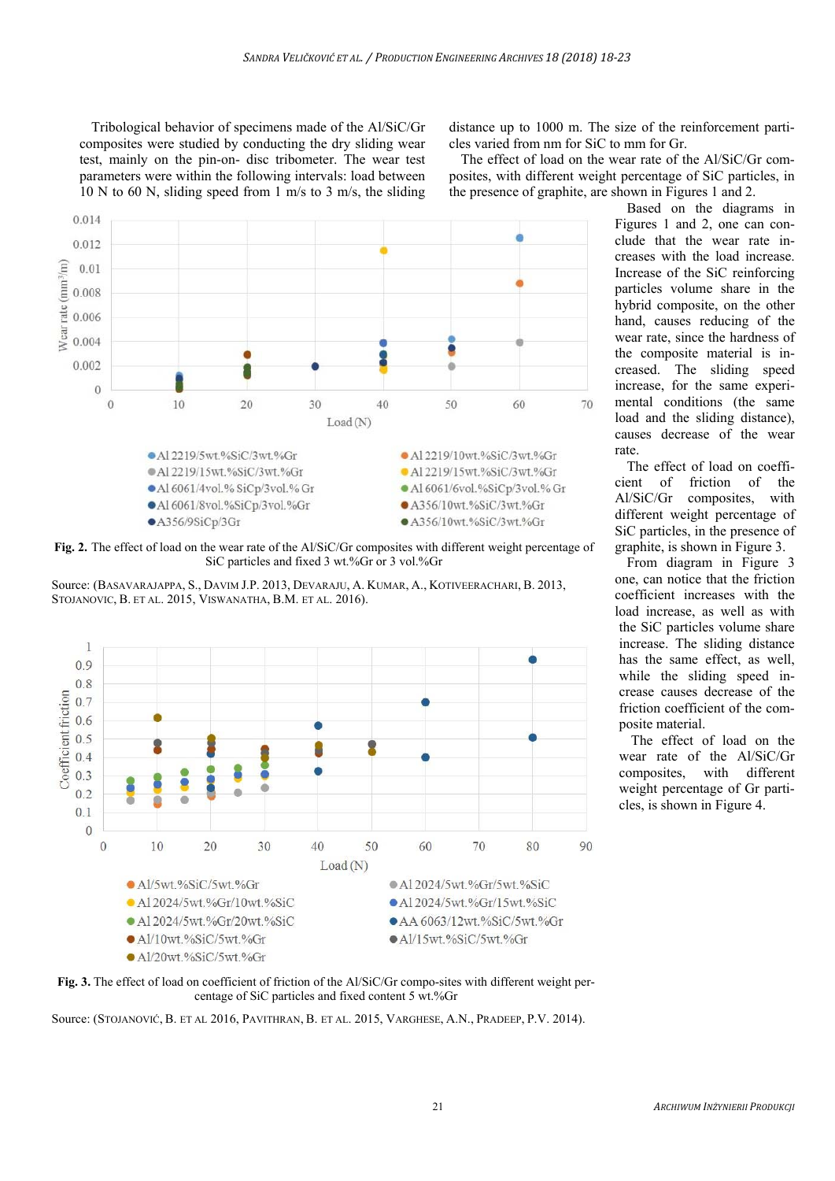Tribological behavior of specimens made of the Al/SiC/Gr composites were studied by conducting the dry sliding wear test, mainly on the pin-on- disc tribometer. The wear test parameters were within the following intervals: load between 10 N to 60 N, sliding speed from 1 m/s to 3 m/s, the sliding

distance up to 1000 m. The size of the reinforcement particles varied from nm for SiC to mm for Gr.

The effect of load on the wear rate of the Al/SiC/Gr composites, with different weight percentage of SiC particles, in the presence of graphite, are shown in Figures 1 and 2.



**Fig. 2.** The effect of load on the wear rate of the Al/SiC/Gr composites with different weight percentage of SiC particles and fixed 3 wt.%Gr or 3 vol.%Gr

Source: (BASAVARAJAPPA, S., DAVIM J.P. 2013, DEVARAJU, A. KUMAR, A., KOTIVEERACHARI, B. 2013, STOJANOVIC, B. ET AL. 2015, VISWANATHA, B.M. ET AL. 2016).





Source: (STOJANOVIĆ, B. ET AL 2016, PAVITHRAN, B. ET AL. 2015, VARGHESE, A.N., PRADEEP, P.V. 2014).

Based on the diagrams in Figures 1 and 2, one can conclude that the wear rate increases with the load increase. Increase of the SiC reinforcing particles volume share in the hybrid composite, on the other hand, causes reducing of the wear rate, since the hardness of the composite material is increased. The sliding speed increase, for the same experimental conditions (the same load and the sliding distance), causes decrease of the wear rate.

The effect of load on coefficient of friction of the Al/SiC/Gr composites, with different weight percentage of SiC particles, in the presence of graphite, is shown in Figure 3.

From diagram in Figure 3 one, can notice that the friction coefficient increases with the load increase, as well as with the SiC particles volume share increase. The sliding distance has the same effect, as well, while the sliding speed increase causes decrease of the friction coefficient of the composite material.

The effect of load on the wear rate of the Al/SiC/Gr composites, with different weight percentage of Gr particles, is shown in Figure 4.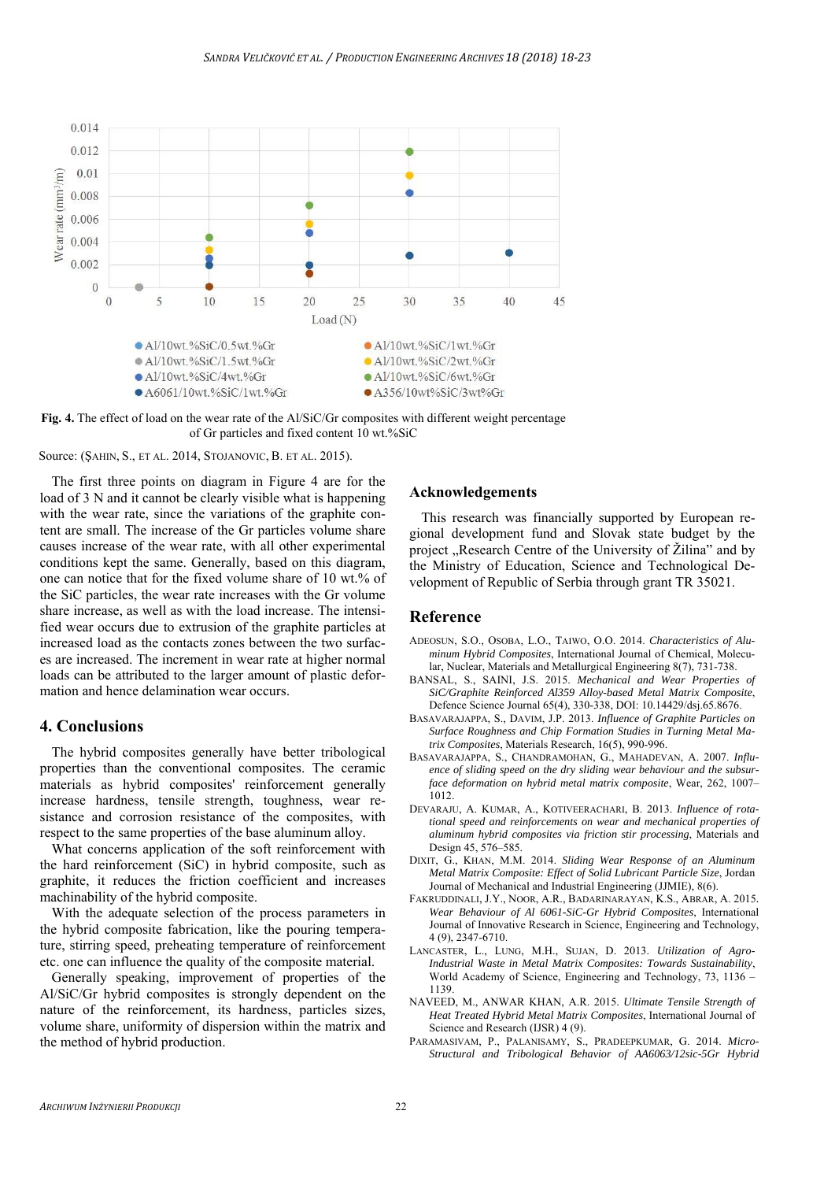

**Fig. 4.** The effect of load on the wear rate of the Al/SiC/Gr composites with different weight percentage of Gr particles and fixed content 10 wt.%SiC

Source: (ŞAHIN, S., ET AL. 2014, STOJANOVIC, B. ET AL. 2015).

The first three points on diagram in Figure 4 are for the load of 3 N and it cannot be clearly visible what is happening with the wear rate, since the variations of the graphite content are small. The increase of the Gr particles volume share causes increase of the wear rate, with all other experimental conditions kept the same. Generally, based on this diagram, one can notice that for the fixed volume share of 10 wt.% of the SiC particles, the wear rate increases with the Gr volume share increase, as well as with the load increase. The intensified wear occurs due to extrusion of the graphite particles at increased load as the contacts zones between the two surfaces are increased. The increment in wear rate at higher normal loads can be attributed to the larger amount of plastic deformation and hence delamination wear occurs.

### **4. Conclusions**

The hybrid composites generally have better tribological properties than the conventional composites. The ceramic materials as hybrid composites' reinforcement generally increase hardness, tensile strength, toughness, wear resistance and corrosion resistance of the composites, with respect to the same properties of the base aluminum alloy.

What concerns application of the soft reinforcement with the hard reinforcement (SiC) in hybrid composite, such as graphite, it reduces the friction coefficient and increases machinability of the hybrid composite.

With the adequate selection of the process parameters in the hybrid composite fabrication, like the pouring temperature, stirring speed, preheating temperature of reinforcement etc. one can influence the quality of the composite material.

Generally speaking, improvement of properties of the Al/SiC/Gr hybrid composites is strongly dependent on the nature of the reinforcement, its hardness, particles sizes, volume share, uniformity of dispersion within the matrix and the method of hybrid production.

## **Acknowledgements**

This research was financially supported by European regional development fund and Slovak state budget by the project "Research Centre of the University of Žilina" and by the Ministry of Education, Science and Technological Development of Republic of Serbia through grant TR 35021.

#### **Reference**

- ADEOSUN, S.O., OSOBA, L.O., TAIWO, O.O. 2014. *Characteristics of Aluminum Hybrid Composites*, International Journal of Chemical, Molecular, Nuclear, Materials and Metallurgical Engineering 8(7), 731-738.
- BANSAL, S., SAINI, J.S. 2015. *Mechanical and Wear Properties of SiC/Graphite Reinforced Al359 Alloy-based Metal Matrix Composite*, Defence Science Journal 65(4), 330-338, DOI: 10.14429/dsj.65.8676.
- BASAVARAJAPPA, S., DAVIM, J.P. 2013. *Influence of Graphite Particles on Surface Roughness and Chip Formation Studies in Turning Metal Matrix Composites*, Materials Research, 16(5), 990-996.
- BASAVARAJAPPA, S., CHANDRAMOHAN, G., MAHADEVAN, A. 2007. *Influence of sliding speed on the dry sliding wear behaviour and the subsurface deformation on hybrid metal matrix composite*, Wear, 262, 1007–  $1012.$
- DEVARAJU, A. KUMAR, A., KOTIVEERACHARI, B. 2013. *Influence of rotational speed and reinforcements on wear and mechanical properties of aluminum hybrid composites via friction stir processing*, Materials and Design 45, 576–585.
- DIXIT, G., KHAN, M.M. 2014. *Sliding Wear Response of an Aluminum Metal Matrix Composite: Effect of Solid Lubricant Particle Size*, Jordan Journal of Mechanical and Industrial Engineering (JJMIE), 8(6).
- FAKRUDDINALI, J.Y., NOOR, A.R., BADARINARAYAN, K.S., ABRAR, A. 2015*. Wear Behaviour of Al 6061-SiC-Gr Hybrid Composites*, International Journal of Innovative Research in Science, Engineering and Technology, 4 (9), 2347-6710.
- LANCASTER, L., LUNG, M.H., SUJAN, D. 2013. *Utilization of Agro-Industrial Waste in Metal Matrix Composites: Towards Sustainability*, World Academy of Science, Engineering and Technology, 73, 1136 – 1139.
- NAVEED, M., ANWAR KHAN, A.R. 2015. *Ultimate Tensile Strength of Heat Treated Hybrid Metal Matrix Composites*, International Journal of Science and Research (IJSR) 4 (9).
- PARAMASIVAM, P., PALANISAMY, S., PRADEEPKUMAR, G. 2014. *Micro-Structural and Tribological Behavior of AA6063/12sic-5Gr Hybrid*